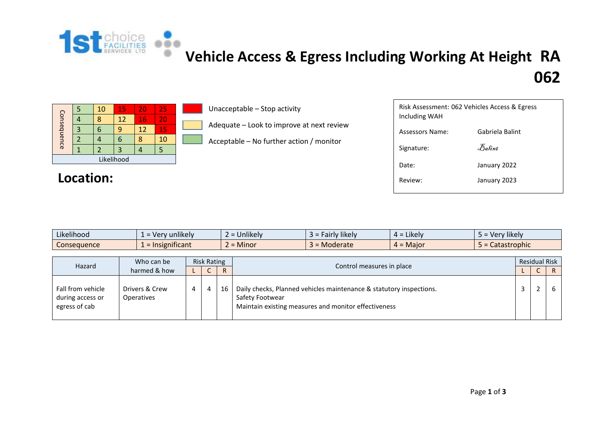

## **[V](http://1stchoicefacilities.co.uk/)ehicle Access & Egress Including Working At Height RA 062**

| Consequence |  | 10 | 15 | 20 | 25 |  |  |  |  |  |
|-------------|--|----|----|----|----|--|--|--|--|--|
|             |  |    | 12 | 16 | 20 |  |  |  |  |  |
|             |  |    | q  | 12 | 15 |  |  |  |  |  |
|             |  |    |    | 8  | 10 |  |  |  |  |  |
|             |  |    | 3  |    |    |  |  |  |  |  |
| Likelihood  |  |    |    |    |    |  |  |  |  |  |

Location:

Unacceptable – Stop activity

Adequate – Look to improve at next review

Acceptable – No further action / monitor

| Risk Assessment: 062 Vehicles Access & Egress<br>Including WAH |                 |  |  |  |  |  |  |  |  |
|----------------------------------------------------------------|-----------------|--|--|--|--|--|--|--|--|
| Assessors Name:                                                | Gabriela Balint |  |  |  |  |  |  |  |  |
| Signature:                                                     | Balint          |  |  |  |  |  |  |  |  |
| Date:                                                          | January 2022    |  |  |  |  |  |  |  |  |
| Review:                                                        | January 2023    |  |  |  |  |  |  |  |  |
|                                                                |                 |  |  |  |  |  |  |  |  |

| Likelihood  | $\cdots$<br>unlikely<br><b>Verv</b> | $\cdots$<br>Jnlikelv<br>$\overline{\phantom{0}}$ | $\cdots$<br><b>likely</b><br>-airlv | Likely<br>д = | $\cdots$<br>very likely |
|-------------|-------------------------------------|--------------------------------------------------|-------------------------------------|---------------|-------------------------|
| Consequence | $\sim$ $\sim$ $\sim$<br>gnificant   | Minor<br>$-$<br>$\overline{\phantom{0}}$         | Moderate                            | $4 =$ Major   | Catastrophic            |

| Hazard                                                 | Who can be<br>harmed & how          | <b>Risk Rating</b> |                |    |                                                                                                                                                | <b>Residual Risk</b> |  |  |  |
|--------------------------------------------------------|-------------------------------------|--------------------|----------------|----|------------------------------------------------------------------------------------------------------------------------------------------------|----------------------|--|--|--|
|                                                        |                                     |                    |                | R. | Control measures in place                                                                                                                      |                      |  |  |  |
| Fall from vehicle<br>during access or<br>egress of cab | Drivers & Crew<br><b>Operatives</b> | 4                  | $\overline{a}$ | 16 | Daily checks, Planned vehicles maintenance & statutory inspections.<br>Safety Footwear<br>Maintain existing measures and monitor effectiveness |                      |  |  |  |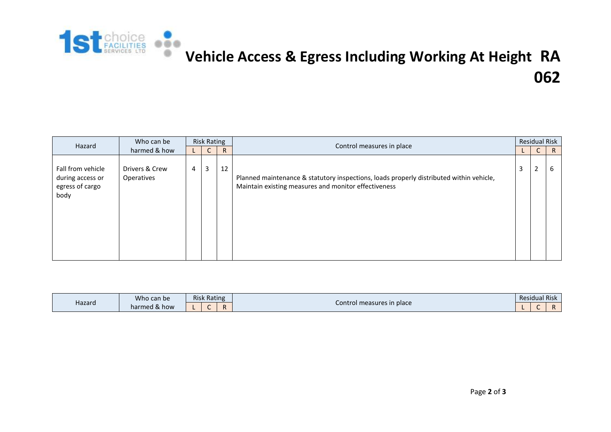

## **[V](http://1stchoicefacilities.co.uk/)ehicle Access & Egress Including Working At Height RA 062**

| Hazard                                                           | Who can be<br>harmed & how   | <b>Risk Rating</b> |   |              | Control measures in place                                                                                                                       |                | <b>Residual Risk</b> |   |  |
|------------------------------------------------------------------|------------------------------|--------------------|---|--------------|-------------------------------------------------------------------------------------------------------------------------------------------------|----------------|----------------------|---|--|
|                                                                  |                              |                    | C | $\mathsf{R}$ |                                                                                                                                                 |                | $\mathsf{C}$         | R |  |
| Fall from vehicle<br>during access or<br>egress of cargo<br>body | Drivers & Crew<br>Operatives | 4                  | 3 | 12           | Planned maintenance & statutory inspections, loads properly distributed within vehicle,<br>Maintain existing measures and monitor effectiveness | $\overline{3}$ | $\overline{2}$       | 6 |  |

| Hazard | Who can be               | <b>Risk Rating</b> |         | Control measures in place | Residual Risk |  |         |  |  |
|--------|--------------------------|--------------------|---------|---------------------------|---------------|--|---------|--|--|
|        | $\Omega$<br>harmed & how |                    | D<br>n. |                           |               |  | D<br>n. |  |  |